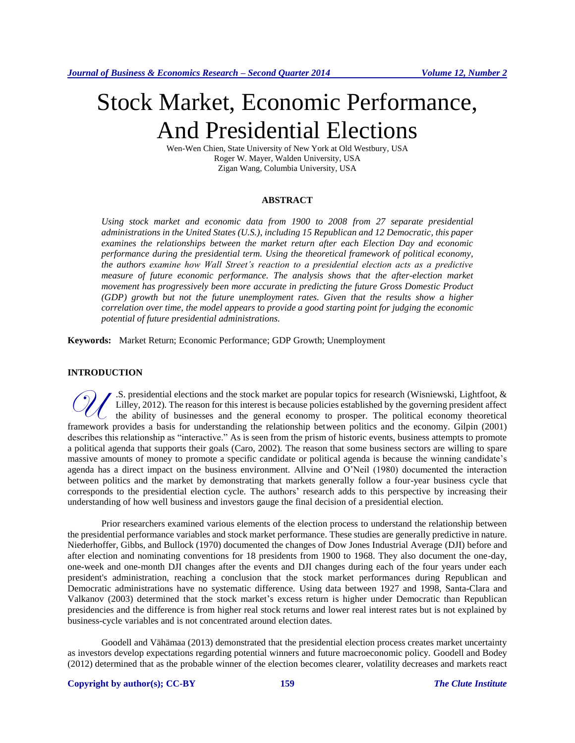# Stock Market, Economic Performance, And Presidential Elections

Wen-Wen Chien, State University of New York at Old Westbury, USA Roger W. Mayer, Walden University, USA Zigan Wang, Columbia University, USA

## **ABSTRACT**

*Using stock market and economic data from 1900 to 2008 from 27 separate presidential administrations in the United States (U.S.), including 15 Republican and 12 Democratic, this paper examines the relationships between the market return after each Election Day and economic performance during the presidential term. Using the theoretical framework of political economy, the authors examine how Wall Street's reaction to a presidential election acts as a predictive measure of future economic performance. The analysis shows that the after-election market movement has progressively been more accurate in predicting the future Gross Domestic Product (GDP) growth but not the future unemployment rates. Given that the results show a higher correlation over time, the model appears to provide a good starting point for judging the economic potential of future presidential administrations.*

**Keywords:** Market Return; Economic Performance; GDP Growth; Unemployment

# **INTRODUCTION**

.S. presidential elections and the stock market are popular topics for research (Wisniewski, Lightfoot, & Lilley, 2012). The reason for this interest is because policies established by the governing president affect the ability of businesses and the general economy to prosper. The political economy theoretical **Framework provides a basis for understanding the relationship between politics and the economy.** Gilpin (2001) Gilpin (2001) the relationship between politics and the economy. Gilpin (2001) describes this relationship as "interactive." As is seen from the prism of historic events, business attempts to promote a political agenda that supports their goals (Caro, 2002). The reason that some business sectors are willing to spare massive amounts of money to promote a specific candidate or political agenda is because the winning candidate's agenda has a direct impact on the business environment. Allvine and O'Neil (1980) documented the interaction between politics and the market by demonstrating that markets generally follow a four-year business cycle that corresponds to the presidential election cycle. The authors' research adds to this perspective by increasing their understanding of how well business and investors gauge the final decision of a presidential election.

Prior researchers examined various elements of the election process to understand the relationship between the presidential performance variables and stock market performance. These studies are generally predictive in nature. Niederhoffer, Gibbs, and Bullock (1970) documented the changes of Dow Jones Industrial Average (DJI) before and after election and nominating conventions for 18 presidents from 1900 to 1968. They also document the one-day, one-week and one-month DJI changes after the events and DJI changes during each of the four years under each president's administration, reaching a conclusion that the stock market performances during Republican and Democratic administrations have no systematic difference. Using data between 1927 and 1998, Santa-Clara and Valkanov (2003) determined that the stock market's excess return is higher under Democratic than Republican presidencies and the difference is from higher real stock returns and lower real interest rates but is not explained by business-cycle variables and is not concentrated around election dates.

Goodell and Vähämaa (2013) demonstrated that the presidential election process creates market uncertainty as investors develop expectations regarding potential winners and future macroeconomic policy. Goodell and Bodey (2012) determined that as the probable winner of the election becomes clearer, volatility decreases and markets react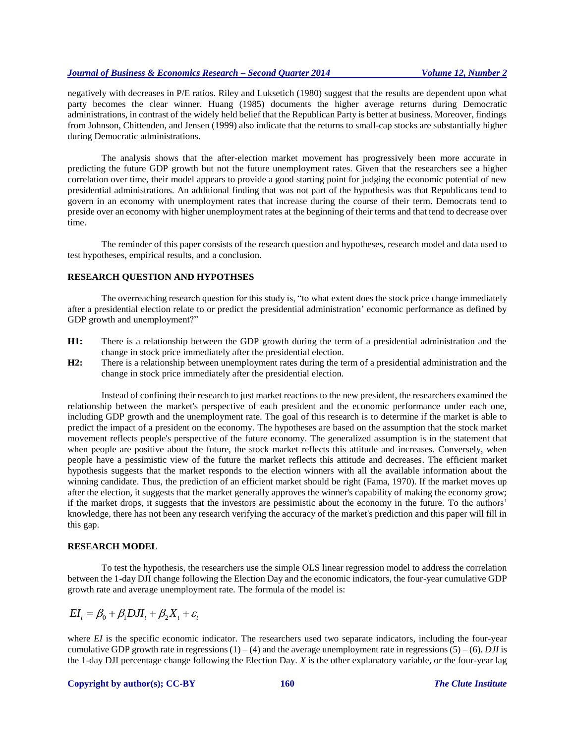negatively with decreases in P/E ratios. Riley and Luksetich (1980) suggest that the results are dependent upon what party becomes the clear winner. Huang (1985) documents the higher average returns during Democratic administrations, in contrast of the widely held belief that the Republican Party is better at business. Moreover, findings from Johnson, Chittenden, and Jensen (1999) also indicate that the returns to small-cap stocks are substantially higher during Democratic administrations.

The analysis shows that the after-election market movement has progressively been more accurate in predicting the future GDP growth but not the future unemployment rates. Given that the researchers see a higher correlation over time, their model appears to provide a good starting point for judging the economic potential of new presidential administrations. An additional finding that was not part of the hypothesis was that Republicans tend to govern in an economy with unemployment rates that increase during the course of their term. Democrats tend to preside over an economy with higher unemployment rates at the beginning of their terms and that tend to decrease over time.

The reminder of this paper consists of the research question and hypotheses, research model and data used to test hypotheses, empirical results, and a conclusion.

#### **RESEARCH QUESTION AND HYPOTHSES**

The overreaching research question for this study is, "to what extent does the stock price change immediately after a presidential election relate to or predict the presidential administration' economic performance as defined by GDP growth and unemployment?"

- **H1:** There is a relationship between the GDP growth during the term of a presidential administration and the change in stock price immediately after the presidential election.
- **H2:** There is a relationship between unemployment rates during the term of a presidential administration and the change in stock price immediately after the presidential election.

Instead of confining their research to just market reactions to the new president, the researchers examined the relationship between the market's perspective of each president and the economic performance under each one, including GDP growth and the unemployment rate. The goal of this research is to determine if the market is able to predict the impact of a president on the economy. The hypotheses are based on the assumption that the stock market movement reflects people's perspective of the future economy. The generalized assumption is in the statement that when people are positive about the future, the stock market reflects this attitude and increases. Conversely, when people have a pessimistic view of the future the market reflects this attitude and decreases. The efficient market hypothesis suggests that the market responds to the election winners with all the available information about the winning candidate. Thus, the prediction of an efficient market should be right (Fama, 1970). If the market moves up after the election, it suggests that the market generally approves the winner's capability of making the economy grow; if the market drops, it suggests that the investors are pessimistic about the economy in the future. To the authors' knowledge, there has not been any research verifying the accuracy of the market's prediction and this paper will fill in this gap.

## **RESEARCH MODEL**

To test the hypothesis, the researchers use the simple OLS linear regression model to address the correlation between the 1-day DJI change following the Election Day and the economic indicators, the four-year cumulative GDP growth rate and average unemployment rate. The formula of the model is:

$$
EI_t = \beta_0 + \beta_1 DJI_t + \beta_2 X_t + \varepsilon_t
$$

where *EI* is the specific economic indicator. The researchers used two separate indicators, including the four-year cumulative GDP growth rate in regressions  $(1) - (4)$  and the average unemployment rate in regressions  $(5) - (6)$ . *DJI* is the 1-day DJI percentage change following the Election Day. *X* is the other explanatory variable, or the four-year lag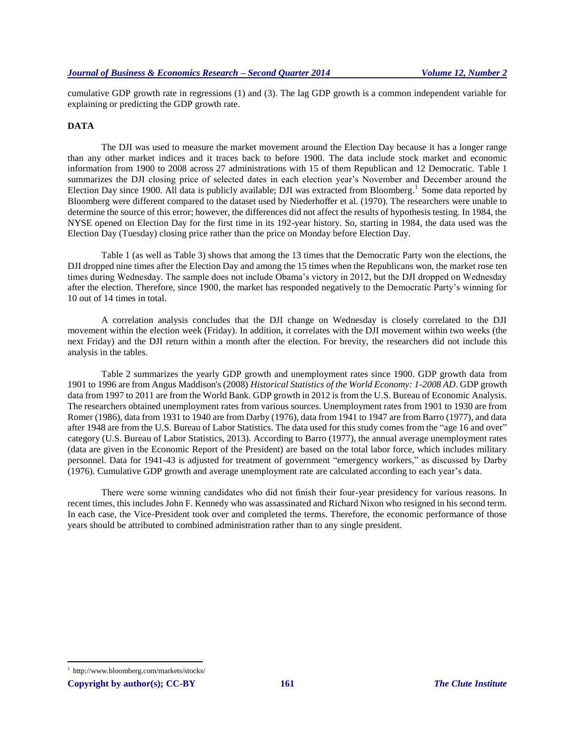cumulative GDP growth rate in regressions (1) and (3). The lag GDP growth is a common independent variable for explaining or predicting the GDP growth rate.

## **DATA**

The DJI was used to measure the market movement around the Election Day because it has a longer range than any other market indices and it traces back to before 1900. The data include stock market and economic information from 1900 to 2008 across 27 administrations with 15 of them Republican and 12 Democratic. Table 1 summarizes the DJI closing price of selected dates in each election year's November and December around the Election Day since 1900. All data is publicly available; DJI was extracted from Bloomberg.<sup>1</sup> Some data reported by Bloomberg were different compared to the dataset used by Niederhoffer et al. (1970). The researchers were unable to determine the source of this error; however, the differences did not affect the results of hypothesis testing. In 1984, the NYSE opened on Election Day for the first time in its 192-year history. So, starting in 1984, the data used was the Election Day (Tuesday) closing price rather than the price on Monday before Election Day.

Table 1 (as well as Table 3) shows that among the 13 times that the Democratic Party won the elections, the DJI dropped nine times after the Election Day and among the 15 times when the Republicans won, the market rose ten times during Wednesday. The sample does not include Obama's victory in 2012, but the DJI dropped on Wednesday after the election. Therefore, since 1900, the market has responded negatively to the Democratic Party's winning for 10 out of 14 times in total.

A correlation analysis concludes that the DJI change on Wednesday is closely correlated to the DJI movement within the election week (Friday). In addition, it correlates with the DJI movement within two weeks (the next Friday) and the DJI return within a month after the election. For brevity, the researchers did not include this analysis in the tables.

Table 2 summarizes the yearly GDP growth and unemployment rates since 1900. GDP growth data from 1901 to 1996 are from Angus Maddison's (2008) *Historical Statistics of the World Economy: 1-2008 AD*. GDP growth data from 1997 to 2011 are from the World Bank. GDP growth in 2012 is from the U.S. Bureau of Economic Analysis. The researchers obtained unemployment rates from various sources. Unemployment rates from 1901 to 1930 are from Romer (1986), data from 1931 to 1940 are from Darby (1976), data from 1941 to 1947 are from Barro (1977), and data after 1948 are from the U.S. Bureau of Labor Statistics. The data used for this study comes from the "age 16 and over" category (U.S. Bureau of Labor Statistics, 2013). According to Barro (1977), the annual average unemployment rates (data are given in the Economic Report of the President) are based on the total labor force, which includes military personnel. Data for 1941-43 is adjusted for treatment of government "emergency workers," as discussed by Darby (1976). Cumulative GDP growth and average unemployment rate are calculated according to each year's data.

There were some winning candidates who did not finish their four-year presidency for various reasons. In recent times, this includes John F. Kennedy who was assassinated and Richard Nixon who resigned in his second term. In each case, the Vice-President took over and completed the terms. Therefore, the economic performance of those years should be attributed to combined administration rather than to any single president.

 $\overline{\phantom{a}}$ 

<sup>1</sup> http://www.bloomberg.com/markets/stocks/

**Copyright by author(s); CC-BY 161** *The Clute Institute*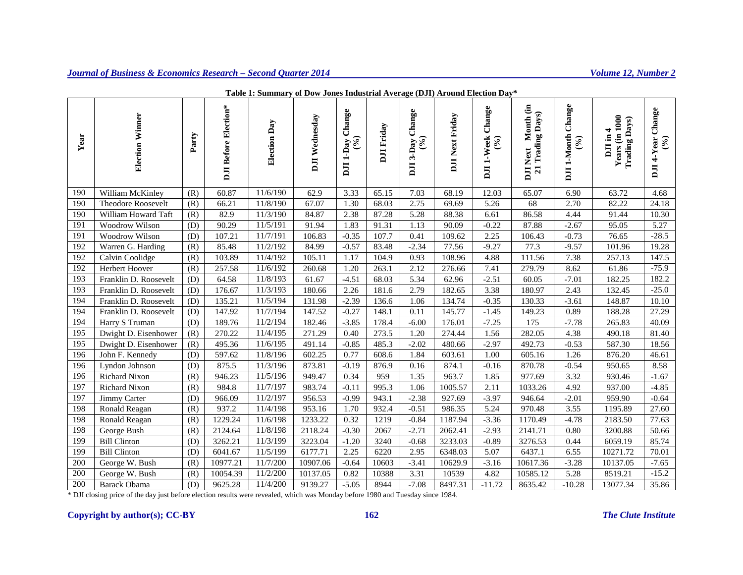| Year | <b>Election Winner</b> | Party | DJI Before Election* | Election Day | DJI Wednesday | DJI 1-Day Change | <b>DJI</b> Friday | DJI 3-Day Change<br>(9) | <b>DJI Next Friday</b> | DJI 1-Week Change<br>(9/6) | Month (in<br><b>Trading Days</b> )<br><b>DJI Next</b><br>$\overline{21}$ | DJI 1-Month Change<br>$(°_0)$ | Years (in 1000<br><b>Trading Days</b> )<br>DJI in 4 | $\text{DJI 4-Year Change}$<br>(%) |
|------|------------------------|-------|----------------------|--------------|---------------|------------------|-------------------|-------------------------|------------------------|----------------------------|--------------------------------------------------------------------------|-------------------------------|-----------------------------------------------------|-----------------------------------|
| 190  | William McKinley       | (R)   | 60.87                | 11/6/190     | 62.9          | 3.33             | 65.15             | 7.03                    | 68.19                  | 12.03                      | 65.07                                                                    | 6.90                          | 63.72                                               | 4.68                              |
| 190  | Theodore Roosevelt     | (R)   | 66.21                | 11/8/190     | 67.07         | 1.30             | 68.03             | 2.75                    | 69.69                  | 5.26                       | 68                                                                       | 2.70                          | 82.22                                               | 24.18                             |
| 190  | William Howard Taft    | (R)   | 82.9                 | 11/3/190     | 84.87         | 2.38             | 87.28             | 5.28                    | 88.38                  | 6.61                       | 86.58                                                                    | 4.44                          | 91.44                                               | 10.30                             |
| 191  | Woodrow Wilson         | (D)   | 90.29                | 11/5/191     | 91.94         | 1.83             | 91.31             | 1.13                    | 90.09                  | $-0.22$                    | 87.88                                                                    | $-2.67$                       | 95.05                                               | 5.27                              |
| 191  | Woodrow Wilson         | (D)   | 107.21               | 11/7/191     | 106.83        | $-0.35$          | 107.7             | 0.41                    | 109.62                 | 2.25                       | 106.43                                                                   | $-0.73$                       | 76.65                                               | $-28.5$                           |
| 192  | Warren G. Harding      | (R)   | 85.48                | 11/2/192     | 84.99         | $-0.57$          | 83.48             | $-2.34$                 | 77.56                  | $-9.27$                    | 77.3                                                                     | $-9.57$                       | 101.96                                              | 19.28                             |
| 192  | Calvin Coolidge        | (R)   | 103.89               | 11/4/192     | 105.11        | 1.17             | 104.9             | 0.93                    | 108.96                 | 4.88                       | 111.56                                                                   | 7.38                          | 257.13                                              | 147.5                             |
| 192  | Herbert Hoover         | (R)   | 257.58               | 11/6/192     | 260.68        | 1.20             | 263.1             | 2.12                    | 276.66                 | 7.41                       | 279.79                                                                   | 8.62                          | 61.86                                               | $-75.9$                           |
| 193  | Franklin D. Roosevelt  | (D)   | 64.58                | 11/8/193     | 61.67         | $-4.51$          | 68.03             | 5.34                    | 62.96                  | $-2.51$                    | 60.05                                                                    | $-7.01$                       | 182.25                                              | 182.2                             |
| 193  | Franklin D. Roosevelt  | (D)   | 176.67               | 11/3/193     | 180.66        | 2.26             | 181.6             | 2.79                    | 182.65                 | 3.38                       | 180.97                                                                   | 2.43                          | 132.45                                              | $-25.0$                           |
| 194  | Franklin D. Roosevelt  | (D)   | 135.21               | 11/5/194     | 131.98        | $-2.39$          | 136.6             | 1.06                    | 134.74                 | $-0.35$                    | 130.33                                                                   | $-3.61$                       | 148.87                                              | 10.10                             |
| 194  | Franklin D. Roosevelt  | (D)   | 147.92               | 11/7/194     | 147.52        | $-0.27$          | 148.1             | 0.11                    | 145.77                 | $-1.45$                    | 149.23                                                                   | 0.89                          | 188.28                                              | 27.29                             |
| 194  | Harry S Truman         | (D)   | 189.76               | 11/2/194     | 182.46        | $-3.85$          | 178.4             | $-6.00$                 | 176.01                 | $-7.25$                    | 175                                                                      | $-7.78$                       | 265.83                                              | 40.09                             |
| 195  | Dwight D. Eisenhower   | (R)   | 270.22               | 11/4/195     | 271.29        | 0.40             | 273.5             | $\overline{1.20}$       | 274.44                 | 1.56                       | 282.05                                                                   | 4.38                          | 490.18                                              | 81.40                             |
| 195  | Dwight D. Eisenhower   | (R)   | 495.36               | 11/6/195     | 491.14        | $-0.85$          | 485.3             | $-2.02$                 | 480.66                 | $-2.97$                    | 492.73                                                                   | $-0.53$                       | 587.30                                              | 18.56                             |
| 196  | John F. Kennedy        | (D)   | 597.62               | 11/8/196     | 602.25        | 0.77             | 608.6             | 1.84                    | 603.61                 | 1.00                       | 605.16                                                                   | 1.26                          | 876.20                                              | 46.61                             |
| 196  | Lyndon Johnson         | (D)   | 875.5                | 11/3/196     | 873.81        | $-0.19$          | 876.9             | 0.16                    | 874.1                  | $-0.16$                    | 870.78                                                                   | $-0.54$                       | 950.65                                              | 8.58                              |
| 196  | Richard Nixon          | (R)   | 946.23               | 11/5/196     | 949.47        | 0.34             | 959               | 1.35                    | 963.7                  | 1.85                       | 977.69                                                                   | 3.32                          | 930.46                                              | $-1.67$                           |
| 197  | Richard Nixon          | (R)   | 984.8                | 11/7/197     | 983.74        | $-0.11$          | 995.3             | 1.06                    | 1005.57                | 2.11                       | 1033.26                                                                  | 4.92                          | 937.00                                              | $-4.85$                           |
| 197  | Jimmy Carter           | (D)   | 966.09               | 11/2/197     | 956.53        | $-0.99$          | 943.1             | $-2.38$                 | 927.69                 | $-3.97$                    | 946.64                                                                   | $-2.01$                       | 959.90                                              | $-0.64$                           |
| 198  | Ronald Reagan          | (R)   | 937.2                | 11/4/198     | 953.16        | 1.70             | 932.4             | $-0.51$                 | 986.35                 | 5.24                       | 970.48                                                                   | 3.55                          | 1195.89                                             | 27.60                             |
| 198  | Ronald Reagan          | (R)   | 1229.24              | 11/6/198     | 1233.22       | 0.32             | 1219              | $-0.84$                 | 1187.94                | $-3.36$                    | 1170.49                                                                  | $-4.78$                       | 2183.50                                             | 77.63                             |
| 198  | George Bush            | (R)   | 2124.64              | 11/8/198     | 2118.24       | $-0.30$          | 2067              | $-2.71$                 | 2062.41                | $-2.93$                    | 2141.71                                                                  | 0.80                          | 3200.88                                             | 50.66                             |
| 199  | <b>Bill Clinton</b>    | (D)   | 3262.21              | 11/3/199     | 3223.04       | $-1.20$          | 3240              | $-0.68$                 | 3233.03                | $-0.89$                    | 3276.53                                                                  | 0.44                          | 6059.19                                             | 85.74                             |
| 199  | <b>Bill Clinton</b>    | (D)   | 6041.67              | 11/5/199     | 6177.71       | 2.25             | 6220              | 2.95                    | 6348.03                | 5.07                       | 6437.1                                                                   | 6.55                          | 10271.72                                            | 70.01                             |
| 200  | George W. Bush         | (R)   | 10977.21             | 11/7/200     | 10907.06      | $-0.64$          | 10603             | $-3.41$                 | 10629.9                | $-3.16$                    | 10617.36                                                                 | $-3.28$                       | 10137.05                                            | $-7.65$                           |
| 200  | George W. Bush         | (R)   | 10054.39             | 11/2/200     | 10137.05      | 0.82             | 10388             | 3.31                    | 10539                  | 4.82                       | 10585.12                                                                 | 5.28                          | 8519.21                                             | $-15.2$                           |
| 200  | Barack Obama           | (D)   | 9625.28              | 11/4/200     | 9139.27       | $-5.05$          | 8944              | $-7.08$                 | 8497.31                | $-11.72$                   | 8635.42                                                                  | $-10.28$                      | 13077.34                                            | 35.86                             |

**Table 1: Summary of Dow Jones Industrial Average (DJI) Around Election Day\***

 $\overline{\Gamma}$ 8 \* DJI closing price of the day just before election results were revealed, which was Monday before 1980 and Tuesday since 1984.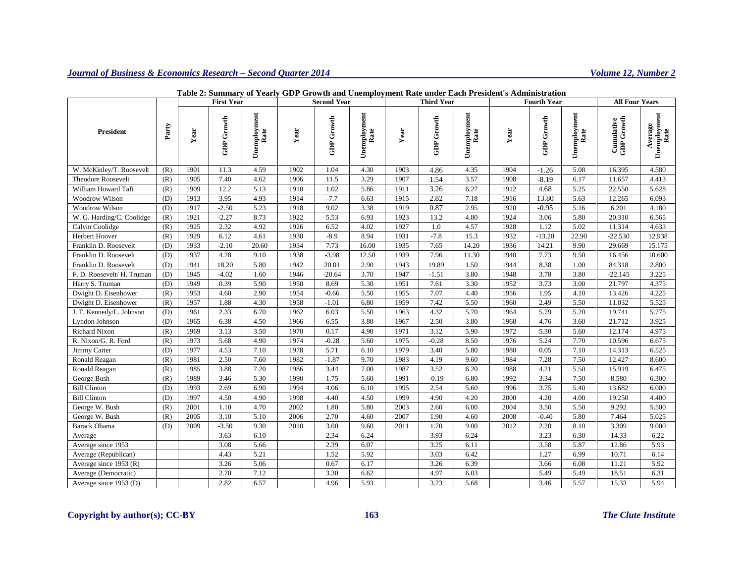|                            |       | <b>First Year</b> |            | <b>Second Year</b>   |      |            | <b>Third Year</b>    |      |                   | <b>Fourth Year</b>   |      |                   | <b>All Four Years</b> |                                 |                                 |
|----------------------------|-------|-------------------|------------|----------------------|------|------------|----------------------|------|-------------------|----------------------|------|-------------------|-----------------------|---------------------------------|---------------------------------|
| <b>President</b>           | Party | Year              | GDP Growth | Unemployment<br>Rate | Year | GDP Growth | Unemployment<br>Rate | Year | <b>GDP Growth</b> | Unemployment<br>Rate | Year | <b>GDP</b> Growth | Unemployment<br>Rate  | <b>Cumulative</b><br>GDP Growth | Unemployment<br>Rate<br>Average |
| W. McKinley/T. Roosevelt   | (R)   | 1901              | 11.3       | 4.59                 | 1902 | 1.04       | 4.30                 | 1903 | 4.86              | 4.35                 | 1904 | $-1.26$           | 5.08                  | 16.395                          | 4.580                           |
| Theodore Roosevelt         | (R)   | 1905              | 7.40       | 4.62                 | 1906 | 11.5       | 3.29                 | 1907 | 1.54              | 3.57                 | 1908 | $-8.19$           | 6.17                  | 11.657                          | 4.413                           |
| William Howard Taft        | (R)   | 1909              | 12.2       | 5.13                 | 1910 | 1.02       | 5.86                 | 1911 | 3.26              | 6.27                 | 1912 | 4.68              | 5.25                  | 22.550                          | 5.628                           |
| Woodrow Wilson             | (D)   | 1913              | 3.95       | 4.93                 | 1914 | $-7.7$     | 6.63                 | 1915 | 2.82              | 7.18                 | 1916 | 13.80             | 5.63                  | 12.265                          | 6.093                           |
| Woodrow Wilson             | (D)   | 1917              | $-2.50$    | 5.23                 | 1918 | 9.02       | 3.38                 | 1919 | 0.87              | 2.95                 | 1920 | $-0.95$           | 5.16                  | 6.201                           | 4.180                           |
| W. G. Harding/C. Coolidge  | (R)   | 1921              | $-2.27$    | 8.73                 | 1922 | 5.53       | 6.93                 | 1923 | 13.2              | 4.80                 | 1924 | 3.06              | 5.80                  | 20.310                          | 6.565                           |
| Calvin Coolidge            | (R)   | 1925              | 2.32       | 4.92                 | 1926 | 6.52       | 4.02                 | 1927 | 1.0               | 4.57                 | 1928 | 1.12              | 5.02                  | 11.314                          | 4.633                           |
| Herbert Hoover             | (R)   | 1929              | 6.12       | 4.61                 | 1930 | $-8.9$     | 8.94                 | 1931 | $-7.8$            | 15.3                 | 1932 | $-13.20$          | 22.90                 | $-22.530$                       | 12.938                          |
| Franklin D. Roosevelt      | (D)   | 1933              | $-2.10$    | 20.60                | 1934 | 7.73       | 16.00                | 1935 | 7.65              | 14.20                | 1936 | 14.21             | 9.90                  | 29.669                          | 15.175                          |
| Franklin D. Roosevelt      | (D)   | 1937              | 4.28       | 9.10                 | 1938 | $-3.98$    | 12.50                | 1939 | 7.96              | 11.30                | 1940 | 7.73              | 9.50                  | 16.456                          | 10.600                          |
| Franklin D. Roosevelt      | (D)   | 1941              | 18.20      | 5.80                 | 1942 | 20.01      | 2.90                 | 1943 | 19.89             | 1.50                 | 1944 | 8.38              | 1.00                  | 84.318                          | 2.800                           |
| F. D. Roosevelt/ H. Truman | (D)   | 1945              | $-4.02$    | 1.60                 | 1946 | $-20.64$   | 3.70                 | 1947 | $-1.51$           | 3.80                 | 1948 | 3.78              | 3.80                  | $-22.145$                       | 3.225                           |
| Harry S. Truman            | (D)   | 1949              | 0.39       | 5.90                 | 1950 | 8.69       | 5.30                 | 1951 | 7.61              | 3.30                 | 1952 | 3.73              | 3.00                  | 21.797                          | 4.375                           |
| Dwight D. Eisenhower       | (R)   | 1953              | 4.60       | 2.90                 | 1954 | $-0.66$    | 5.50                 | 1955 | 7.07              | 4.40                 | 1956 | 1.95              | 4.10                  | 13.426                          | 4.225                           |
| Dwight D. Eisenhower       | (R)   | 1957              | 1.88       | 4.30                 | 1958 | $-1.01$    | 6.80                 | 1959 | 7.42              | 5.50                 | 1960 | 2.49              | 5.50                  | 11.032                          | 5.525                           |
| J. F. Kennedy/L. Johnson   | (D)   | 1961              | 2.33       | 6.70                 | 1962 | 6.03       | 5.50                 | 1963 | 4.32              | 5.70                 | 1964 | 5.79              | 5.20                  | 19.741                          | 5.775                           |
| Lyndon Johnson             | (D)   | 1965              | 6.38       | 4.50                 | 1966 | 6.55       | 3.80                 | 1967 | 2.50              | 3.80                 | 1968 | 4.76              | 3.60                  | 21.712                          | 3.925                           |
| Richard Nixon              | (R)   | 1969              | 3.13       | 3.50                 | 1970 | 0.17       | 4.90                 | 1971 | 3.12              | 5.90                 | 1972 | 5.30              | 5.60                  | 12.174                          | 4.975                           |
| R. Nixon/G. R. Ford        | (R)   | 1973              | 5.68       | 4.90                 | 1974 | $-0.28$    | 5.60                 | 1975 | $-0.28$           | 8.50                 | 1976 | 5.24              | 7.70                  | 10.596                          | 6.675                           |
| Jimmy Carter               | (D)   | 1977              | 4.53       | 7.10                 | 1978 | 5.71       | 6.10                 | 1979 | 3.40              | 5.80                 | 1980 | 0.05              | 7.10                  | 14.313                          | 6.525                           |
| Ronald Reagan              | (R)   | 1981              | 2.50       | 7.60                 | 1982 | $-1.87$    | 9.70                 | 1983 | 4.19              | 9.60                 | 1984 | 7.28              | 7.50                  | 12.427                          | 8.600                           |
| Ronald Reagan              | (R)   | 1985              | 3.88       | 7.20                 | 1986 | 3.44       | 7.00                 | 1987 | 3.52              | 6.20                 | 1988 | 4.21              | 5.50                  | 15.919                          | 6.475                           |
| George Bush                | (R)   | 1989              | 3.46       | 5.30                 | 1990 | 1.75       | 5.60                 | 1991 | $-0.19$           | 6.80                 | 1992 | 3.34              | 7.50                  | 8.580                           | 6.300                           |
| <b>Bill Clinton</b>        | (D)   | 1993              | 2.69       | 6.90                 | 1994 | 4.06       | 6.10                 | 1995 | 2.54              | 5.60                 | 1996 | 3.75              | 5.40                  | 13.682                          | 6.000                           |
| <b>Bill Clinton</b>        | (D)   | 1997              | 4.50       | 4.90                 | 1998 | 4.40       | 4.50                 | 1999 | 4.90              | 4.20                 | 2000 | 4.20              | 4.00                  | 19.250                          | 4.400                           |
| George W. Bush             | (R)   | 2001              | 1.10       | 4.70                 | 2002 | 1.80       | 5.80                 | 2003 | 2.60              | 6.00                 | 2004 | 3.50              | 5.50                  | 9.292                           | 5.500                           |
| George W. Bush             | (R)   | 2005              | 3.10       | 5.10                 | 2006 | 2.70       | 4.60                 | 2007 | 1.90              | 4.60                 | 2008 | $-0.40$           | 5.80                  | 7.464                           | 5.025                           |
| <b>Barack Obama</b>        | (D)   | 2009              | $-3.50$    | 9.30                 | 2010 | 3.00       | 9.60                 | 2011 | 1.70              | 9.00                 | 2012 | 2.20              | 8.10                  | 3.309                           | 9.000                           |
| Average                    |       |                   | 3.63       | 6.10                 |      | 2.34       | 6.24                 |      | 3.93              | 6.24                 |      | 3.23              | 6.30                  | 14.33                           | 6.22                            |
| Average since 1953         |       |                   | 3.08       | 5.66                 |      | 2.39       | 6.07                 |      | 3.25              | 6.11                 |      | 3.58              | 5.87                  | 12.86                           | 5.93                            |
| Average (Republican)       |       |                   | 4.43       | 5.21                 |      | 1.52       | 5.92                 |      | 3.03              | 6.42                 |      | 1.27              | 6.99                  | 10.71                           | 6.14                            |
| Average since 1953 (R)     |       |                   | 3.26       | 5.06                 |      | 0.67       | 6.17                 |      | 3.26              | 6.39                 |      | 3.66              | 6.08                  | 11.21                           | 5.92                            |
| Average (Democratic)       |       |                   | 2.70       | 7.12                 |      | 3.30       | 6.62                 |      | 4.97              | 6.03                 |      | 5.49              | 5.49                  | 18.51                           | 6.31                            |
| Average since 1953 (D)     |       |                   | 2.82       | 6.57                 |      | 4.96       | 5.93                 |      | 3.23              | 5.68                 |      | 3.46              | 5.57                  | 15.33                           | 5.94                            |

## **Table 2: Summary of Yearly GDP Growth and Unemployment Rate under Each President's Administration**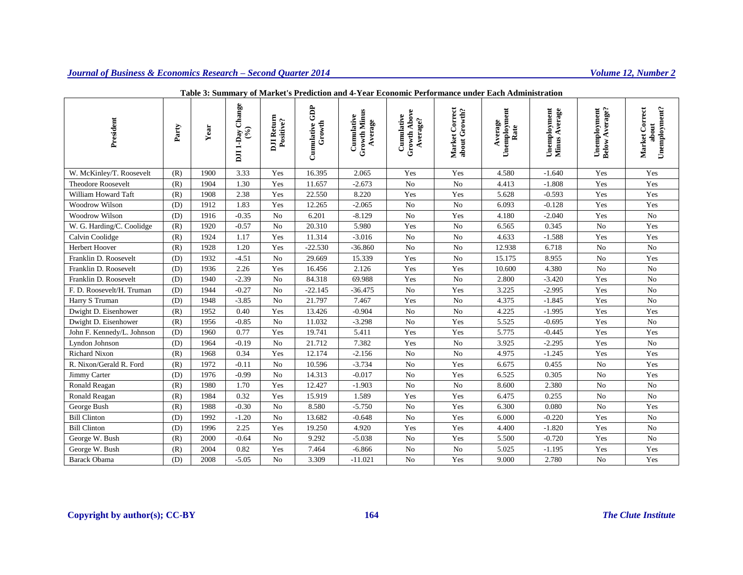| President                  | Party | Year | Change<br>$\mathcal{E}$<br>DJI 1-Day | DJI Return<br>Positive? | GDP<br>Growth<br>Cumulative | <b>Growth Minus</b><br>Cumulative<br>Average | Growth Abov<br>Cumulative<br>Average? | Market Correct<br>about Growth? | Unemployment<br>Average<br>Rate | Unemployment<br>Minus Average<br>Average | Below Average?<br>Unemployment | Unemployment?<br>Market Correct<br>about |
|----------------------------|-------|------|--------------------------------------|-------------------------|-----------------------------|----------------------------------------------|---------------------------------------|---------------------------------|---------------------------------|------------------------------------------|--------------------------------|------------------------------------------|
| W. McKinley/T. Roosevelt   | (R)   | 1900 | 3.33                                 | Yes                     | 16.395                      | 2.065                                        | Yes                                   | Yes                             | 4.580                           | $-1.640$                                 | Yes                            | Yes                                      |
| <b>Theodore Roosevelt</b>  | (R)   | 1904 | 1.30                                 | Yes                     | 11.657                      | $-2.673$                                     | No                                    | No                              | 4.413                           | $-1.808$                                 | Yes                            | Yes                                      |
| William Howard Taft        | (R)   | 1908 | 2.38                                 | Yes                     | 22.550                      | 8.220                                        | Yes                                   | Yes                             | 5.628                           | $-0.593$                                 | Yes                            | Yes                                      |
| Woodrow Wilson             | (D)   | 1912 | 1.83                                 | Yes                     | 12.265                      | $-2.065$                                     | No                                    | N <sub>o</sub>                  | 6.093                           | $-0.128$                                 | Yes                            | Yes                                      |
| Woodrow Wilson             | (D)   | 1916 | $-0.35$                              | No                      | 6.201                       | $-8.129$                                     | No                                    | Yes                             | 4.180                           | $-2.040$                                 | Yes                            | No                                       |
| W. G. Harding/C. Coolidge  | (R)   | 1920 | $-0.57$                              | N <sub>o</sub>          | 20.310                      | 5.980                                        | Yes                                   | N <sub>o</sub>                  | 6.565                           | 0.345                                    | N <sub>o</sub>                 | Yes                                      |
| Calvin Coolidge            | (R)   | 1924 | 1.17                                 | Yes                     | 11.314                      | $-3.016$                                     | N <sub>o</sub>                        | No                              | 4.633                           | $-1.588$                                 | Yes                            | Yes                                      |
| Herbert Hoover             | (R)   | 1928 | 1.20                                 | Yes                     | $-22.530$                   | $-36.860$                                    | No                                    | No                              | 12.938                          | 6.718                                    | No                             | No                                       |
| Franklin D. Roosevelt      | (D)   | 1932 | $-4.51$                              | N <sub>o</sub>          | 29.669                      | 15.339                                       | Yes                                   | No                              | 15.175                          | 8.955                                    | No                             | Yes                                      |
| Franklin D. Roosevelt      | (D)   | 1936 | 2.26                                 | Yes                     | 16.456                      | 2.126                                        | Yes                                   | Yes                             | 10.600                          | 4.380                                    | N <sub>o</sub>                 | No                                       |
| Franklin D. Roosevelt      | (D)   | 1940 | $-2.39$                              | N <sub>o</sub>          | 84.318                      | 69.988                                       | Yes                                   | No                              | 2.800                           | $-3.420$                                 | Yes                            | No                                       |
| F. D. Roosevelt/H. Truman  | (D)   | 1944 | $-0.27$                              | No                      | $-22.145$                   | $-36.475$                                    | No                                    | Yes                             | 3.225                           | $-2.995$                                 | Yes                            | No                                       |
| Harry S Truman             | (D)   | 1948 | $-3.85$                              | N <sub>o</sub>          | 21.797                      | 7.467                                        | Yes                                   | No                              | 4.375                           | $-1.845$                                 | Yes                            | No                                       |
| Dwight D. Eisenhower       | (R)   | 1952 | 0.40                                 | Yes                     | 13.426                      | $-0.904$                                     | No                                    | No                              | 4.225                           | $-1.995$                                 | Yes                            | Yes                                      |
| Dwight D. Eisenhower       | (R)   | 1956 | $-0.85$                              | No                      | 11.032                      | $-3.298$                                     | No                                    | Yes                             | 5.525                           | $-0.695$                                 | Yes                            | No                                       |
| John F. Kennedy/L. Johnson | (D)   | 1960 | 0.77                                 | Yes                     | 19.741                      | 5.411                                        | Yes                                   | Yes                             | 5.775                           | $-0.445$                                 | Yes                            | Yes                                      |
| Lyndon Johnson             | (D)   | 1964 | $-0.19$                              | N <sub>o</sub>          | 21.712                      | 7.382                                        | Yes                                   | No                              | 3.925                           | $-2.295$                                 | Yes                            | No                                       |
| Richard Nixon              | (R)   | 1968 | 0.34                                 | Yes                     | 12.174                      | $-2.156$                                     | No                                    | No                              | 4.975                           | $-1.245$                                 | Yes                            | Yes                                      |
| R. Nixon/Gerald R. Ford    | (R)   | 1972 | $-0.11$                              | No                      | 10.596                      | $-3.734$                                     | No                                    | Yes                             | 6.675                           | 0.455                                    | No                             | Yes                                      |
| Jimmy Carter               | (D)   | 1976 | $-0.99$                              | No                      | 14.313                      | $-0.017$                                     | No                                    | Yes                             | 6.525                           | 0.305                                    | No                             | Yes                                      |
| Ronald Reagan              | (R)   | 1980 | 1.70                                 | Yes                     | 12.427                      | $-1.903$                                     | No                                    | No                              | 8.600                           | 2.380                                    | No                             | No                                       |
| Ronald Reagan              | (R)   | 1984 | 0.32                                 | Yes                     | 15.919                      | 1.589                                        | Yes                                   | Yes                             | 6.475                           | 0.255                                    | N <sub>o</sub>                 | No                                       |
| George Bush                | (R)   | 1988 | $-0.30$                              | No                      | 8.580                       | $-5.750$                                     | $\rm No$                              | Yes                             | 6.300                           | 0.080                                    | No                             | Yes                                      |
| <b>Bill Clinton</b>        | (D)   | 1992 | $-1.20$                              | N <sub>o</sub>          | 13.682                      | $-0.648$                                     | N <sub>o</sub>                        | Yes                             | 6.000                           | $-0.220$                                 | Yes                            | No                                       |
| <b>Bill Clinton</b>        | (D)   | 1996 | 2.25                                 | Yes                     | 19.250                      | 4.920                                        | Yes                                   | Yes                             | 4.400                           | $-1.820$                                 | Yes                            | No                                       |
| George W. Bush             | (R)   | 2000 | $-0.64$                              | No                      | 9.292                       | $-5.038$                                     | No                                    | Yes                             | 5.500                           | $-0.720$                                 | Yes                            | No                                       |
| George W. Bush             | (R)   | 2004 | 0.82                                 | Yes                     | 7.464                       | $-6.866$                                     | No                                    | No                              | 5.025                           | $-1.195$                                 | Yes                            | Yes                                      |
| <b>Barack Obama</b>        | (D)   | 2008 | $-5.05$                              | N <sub>o</sub>          | 3.309                       | $-11.021$                                    | No                                    | Yes                             | 9.000                           | 2.780                                    | N <sub>o</sub>                 | Yes                                      |

### **Table 3: Summary of Market's Prediction and 4-Year Economic Performance under Each Administration**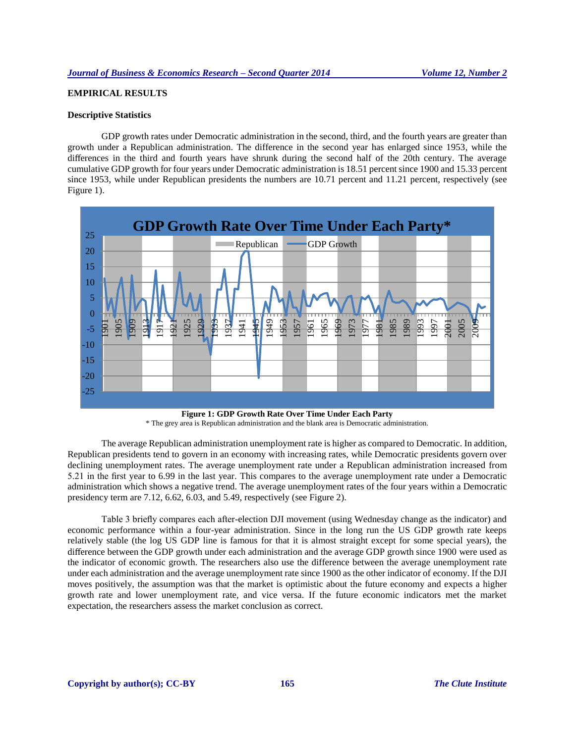# **EMPIRICAL RESULTS**

#### **Descriptive Statistics**

GDP growth rates under Democratic administration in the second, third, and the fourth years are greater than growth under a Republican administration. The difference in the second year has enlarged since 1953, while the differences in the third and fourth years have shrunk during the second half of the 20th century. The average cumulative GDP growth for four years under Democratic administration is 18.51 percent since 1900 and 15.33 percent since 1953, while under Republican presidents the numbers are 10.71 percent and 11.21 percent, respectively (see Figure 1).



**Figure 1: GDP Growth Rate Over Time Under Each Party**

\* The grey area is Republican administration and the blank area is Democratic administration.

The average Republican administration unemployment rate is higher as compared to Democratic. In addition, Republican presidents tend to govern in an economy with increasing rates, while Democratic presidents govern over declining unemployment rates. The average unemployment rate under a Republican administration increased from 5.21 in the first year to 6.99 in the last year. This compares to the average unemployment rate under a Democratic administration which shows a negative trend. The average unemployment rates of the four years within a Democratic presidency term are 7.12, 6.62, 6.03, and 5.49, respectively (see Figure 2).

Table 3 briefly compares each after-election DJI movement (using Wednesday change as the indicator) and economic performance within a four-year administration. Since in the long run the US GDP growth rate keeps relatively stable (the log US GDP line is famous for that it is almost straight except for some special years), the difference between the GDP growth under each administration and the average GDP growth since 1900 were used as the indicator of economic growth. The researchers also use the difference between the average unemployment rate under each administration and the average unemployment rate since 1900 as the other indicator of economy. If the DJI moves positively, the assumption was that the market is optimistic about the future economy and expects a higher growth rate and lower unemployment rate, and vice versa. If the future economic indicators met the market expectation, the researchers assess the market conclusion as correct.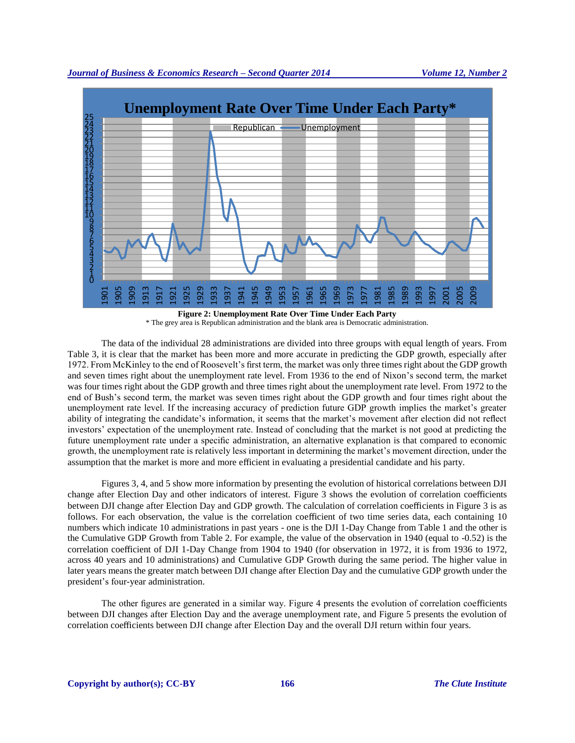

\* The grey area is Republican administration and the blank area is Democratic administration.

The data of the individual 28 administrations are divided into three groups with equal length of years. From Table 3, it is clear that the market has been more and more accurate in predicting the GDP growth, especially after 1972. From McKinley to the end of Roosevelt's first term, the market was only three times right about the GDP growth and seven times right about the unemployment rate level. From 1936 to the end of Nixon's second term, the market was four times right about the GDP growth and three times right about the unemployment rate level. From 1972 to the end of Bush's second term, the market was seven times right about the GDP growth and four times right about the unemployment rate level. If the increasing accuracy of prediction future GDP growth implies the market's greater ability of integrating the candidate's information, it seems that the market's movement after election did not reflect investors' expectation of the unemployment rate. Instead of concluding that the market is not good at predicting the future unemployment rate under a specific administration, an alternative explanation is that compared to economic growth, the unemployment rate is relatively less important in determining the market's movement direction, under the assumption that the market is more and more efficient in evaluating a presidential candidate and his party.

Figures 3, 4, and 5 show more information by presenting the evolution of historical correlations between DJI change after Election Day and other indicators of interest. Figure 3 shows the evolution of correlation coefficients between DJI change after Election Day and GDP growth. The calculation of correlation coefficients in Figure 3 is as follows. For each observation, the value is the correlation coefficient of two time series data, each containing 10 numbers which indicate 10 administrations in past years - one is the DJI 1-Day Change from Table 1 and the other is the Cumulative GDP Growth from Table 2. For example, the value of the observation in 1940 (equal to -0.52) is the correlation coefficient of DJI 1-Day Change from 1904 to 1940 (for observation in 1972, it is from 1936 to 1972, across 40 years and 10 administrations) and Cumulative GDP Growth during the same period. The higher value in later years means the greater match between DJI change after Election Day and the cumulative GDP growth under the president's four-year administration.

The other figures are generated in a similar way. Figure 4 presents the evolution of correlation coefficients between DJI changes after Election Day and the average unemployment rate, and Figure 5 presents the evolution of correlation coefficients between DJI change after Election Day and the overall DJI return within four years.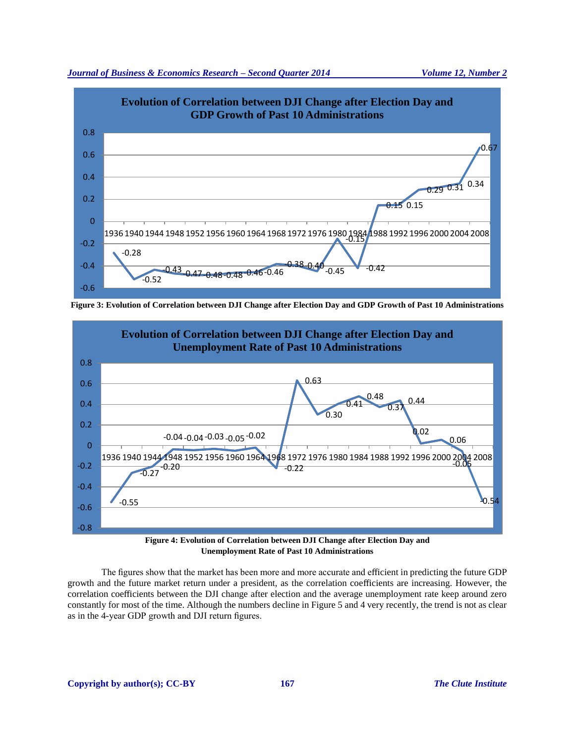



**Figure 3: Evolution of Correlation between DJI Change after Election Day and GDP Growth of Past 10 Administrations**



**Unemployment Rate of Past 10 Administrations**

The figures show that the market has been more and more accurate and efficient in predicting the future GDP growth and the future market return under a president, as the correlation coefficients are increasing. However, the correlation coefficients between the DJI change after election and the average unemployment rate keep around zero constantly for most of the time. Although the numbers decline in Figure 5 and 4 very recently, the trend is not as clear as in the 4-year GDP growth and DJI return figures.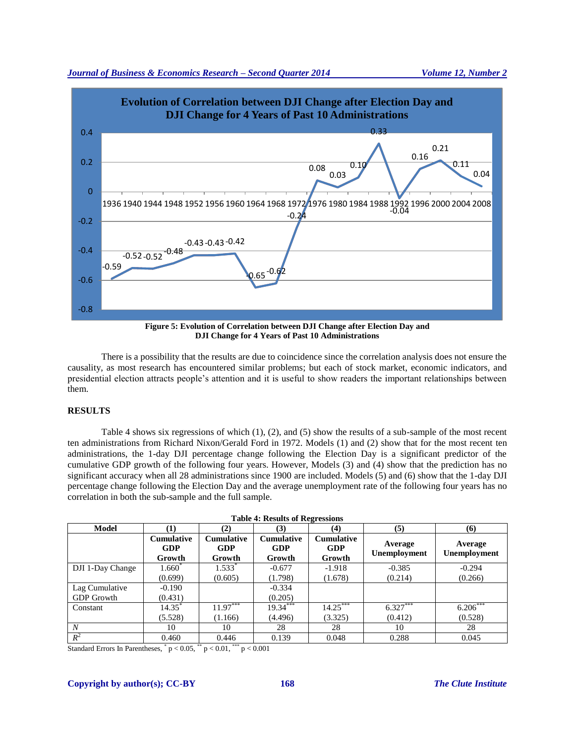



**Figure 5: Evolution of Correlation between DJI Change after Election Day and DJI Change for 4 Years of Past 10 Administrations**

There is a possibility that the results are due to coincidence since the correlation analysis does not ensure the causality, as most research has encountered similar problems; but each of stock market, economic indicators, and presidential election attracts people's attention and it is useful to show readers the important relationships between them.

# **RESULTS**

Table 4 shows six regressions of which (1), (2), and (5) show the results of a sub-sample of the most recent ten administrations from Richard Nixon/Gerald Ford in 1972. Models (1) and (2) show that for the most recent ten administrations, the 1-day DJI percentage change following the Election Day is a significant predictor of the cumulative GDP growth of the following four years. However, Models (3) and (4) show that the prediction has no significant accuracy when all 28 administrations since 1900 are included. Models (5) and (6) show that the 1-day DJI percentage change following the Election Day and the average unemployment rate of the following four years has no correlation in both the sub-sample and the full sample.

| <b>Table 4: Results of Regressions</b> |                                           |                                           |                                    |                                    |                                |                                |  |  |  |
|----------------------------------------|-------------------------------------------|-------------------------------------------|------------------------------------|------------------------------------|--------------------------------|--------------------------------|--|--|--|
| <b>Model</b>                           | (1)                                       | (2)                                       | (3)                                | (4)                                | (5)                            | (6)                            |  |  |  |
|                                        | <b>Cumulative</b><br><b>GDP</b><br>Growth | <b>Cumulative</b><br><b>GDP</b><br>Growth | <b>Cumulative</b><br>GDP<br>Growth | <b>Cumulative</b><br>GDP<br>Growth | Average<br><b>Unemployment</b> | Average<br><b>Unemployment</b> |  |  |  |
| DJI 1-Day Change                       | $1.660^{\degree}$                         | $1.533*$                                  | $-0.677$                           | $-1.918$                           | $-0.385$                       | $-0.294$                       |  |  |  |
|                                        | (0.699)                                   | (0.605)                                   | (1.798)                            | (1.678)                            | (0.214)                        | (0.266)                        |  |  |  |
| Lag Cumulative                         | $-0.190$                                  |                                           | $-0.334$                           |                                    |                                |                                |  |  |  |
| <b>GDP</b> Growth                      | (0.431)                                   |                                           | (0.205)                            |                                    |                                |                                |  |  |  |
| Constant                               | $14.35^*$                                 | $11.97***$                                | 19.34***                           | $14.25***$                         | $6.327***$                     | $6.206***$                     |  |  |  |
|                                        | (5.528)                                   | (1.166)                                   | (4.496)                            | (3.325)                            | (0.412)                        | (0.528)                        |  |  |  |
| $\boldsymbol{N}$                       | 10                                        | 10                                        | 28                                 | 28                                 | 10                             | 28                             |  |  |  |
| $R^2$                                  | 0.460                                     | 0.446                                     | 0.139                              | 0.048                              | 0.288                          | 0.045                          |  |  |  |

Standard Errors In Parentheses,  $p < 0.05$ ,  $p < 0.01$ ,  $p > 0.001$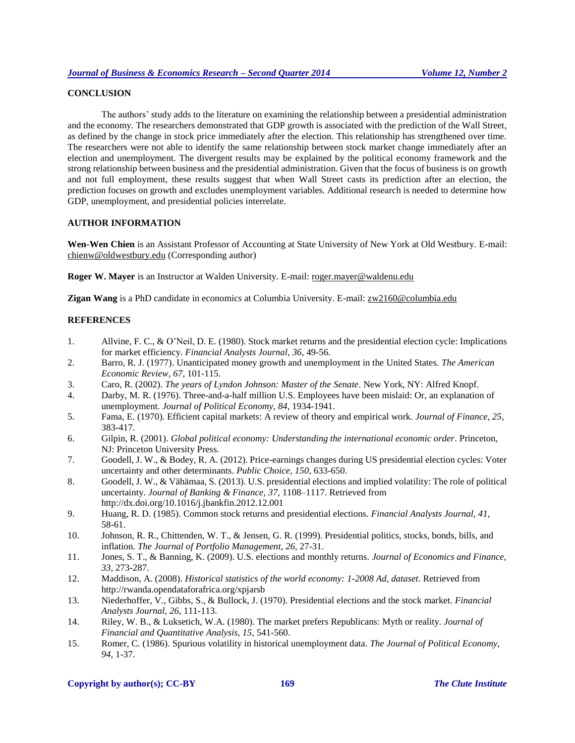## **CONCLUSION**

The authors' study adds to the literature on examining the relationship between a presidential administration and the economy. The researchers demonstrated that GDP growth is associated with the prediction of the Wall Street, as defined by the change in stock price immediately after the election. This relationship has strengthened over time. The researchers were not able to identify the same relationship between stock market change immediately after an election and unemployment. The divergent results may be explained by the political economy framework and the strong relationship between business and the presidential administration. Given that the focus of business is on growth and not full employment, these results suggest that when Wall Street casts its prediction after an election, the prediction focuses on growth and excludes unemployment variables. Additional research is needed to determine how GDP, unemployment, and presidential policies interrelate.

### **AUTHOR INFORMATION**

**Wen-Wen Chien** is an Assistant Professor of Accounting at State University of New York at Old Westbury. E-mail: [chienw@oldwestbury.edu](mailto:chienw@oldwestbury.edu) (Corresponding author)

**Roger W. Mayer** is an Instructor at Walden University. E-mail: [roger.mayer@waldenu.edu](mailto:roger.mayer@waldenu.edu)

**Zigan Wang** is a PhD candidate in economics at Columbia University. E-mail[: zw2160@columbia.edu](mailto:zw2160@columbia.edu)

## **REFERENCES**

- 1. Allvine, F. C., & O'Neil, D. E. (1980). Stock market returns and the presidential election cycle: Implications for market efficiency. *Financial Analysts Journal, 36*, 49-56.
- 2. Barro, R. J. (1977). Unanticipated money growth and unemployment in the United States. *The American Economic Review, 67*, 101-115.
- 3. Caro, R. (2002). *The years of Lyndon Johnson: Master of the Senate*. New York, NY: Alfred Knopf.
- 4. Darby, M. R. (1976). Three-and-a-half million U.S. Employees have been mislaid: Or, an explanation of unemployment. *Journal of Political Economy, 84*, 1934-1941.
- 5. Fama, E. (1970). Efficient capital markets: A review of theory and empirical work. *Journal of Finance, 25*, 383-417.
- 6. Gilpin, R. (2001). *Global political economy: Understanding the international economic order*. Princeton, NJ: Princeton University Press.
- 7. Goodell, J. W., & Bodey, R. A. (2012). Price-earnings changes during US presidential election cycles: Voter uncertainty and other determinants. *Public Choice, 150*, 633-650.
- 8. Goodell, J. W., & Vähämaa, S. (2013). U.S. presidential elections and implied volatility: The role of political uncertainty. *Journal of Banking & Finance, 37*, 1108–1117. Retrieved from http://dx.doi.org/10.1016/j.jbankfin.2012.12.001
- 9. Huang, R. D. (1985). Common stock returns and presidential elections. *Financial Analysts Journal, 41*, 58-61.
- 10. Johnson, R. R., Chittenden, W. T., & Jensen, G. R. (1999). Presidential politics, stocks, bonds, bills, and inflation. *The Journal of Portfolio Management, 26*, 27-31.
- 11. Jones, S. T., & Banning, K. (2009). U.S. elections and monthly returns. *Journal of Economics and Finance, 33*, 273-287.
- 12. Maddison, A. (2008). *Historical statistics of the world economy: 1-2008 Ad, dataset*. Retrieved from http://rwanda.opendataforafrica.org/xpjarsb
- 13. Niederhoffer, V., Gibbs, S., & Bullock, J. (1970). Presidential elections and the stock market. *Financial Analysts Journal, 26*, 111-113.
- 14. Riley, W. B., & Luksetich, W.A. (1980). The market prefers Republicans: Myth or reality. *Journal of Financial and Quantitative Analysis, 15*, 541-560.
- 15. Romer, C. (1986). Spurious volatility in historical unemployment data. *The Journal of Political Economy, 94*, 1-37.